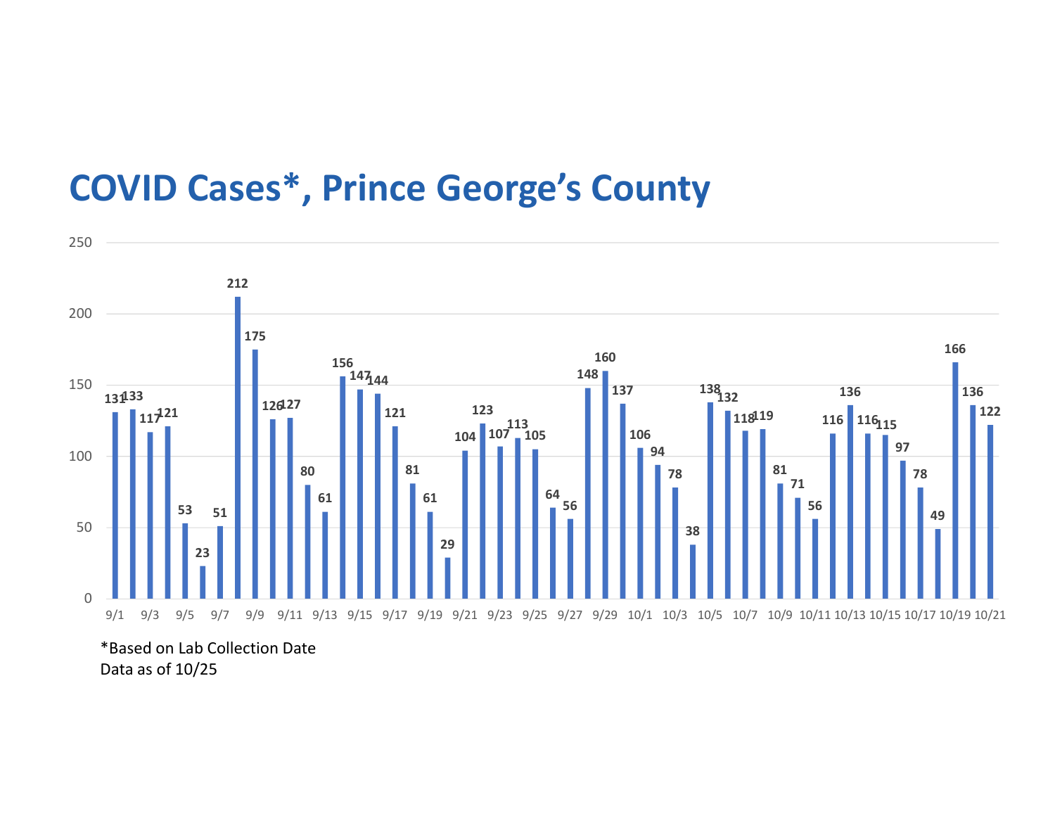## COVID Cases\*, Prince George's County



<sup>\*</sup>Based on Lab Collection Date Data as of 10/25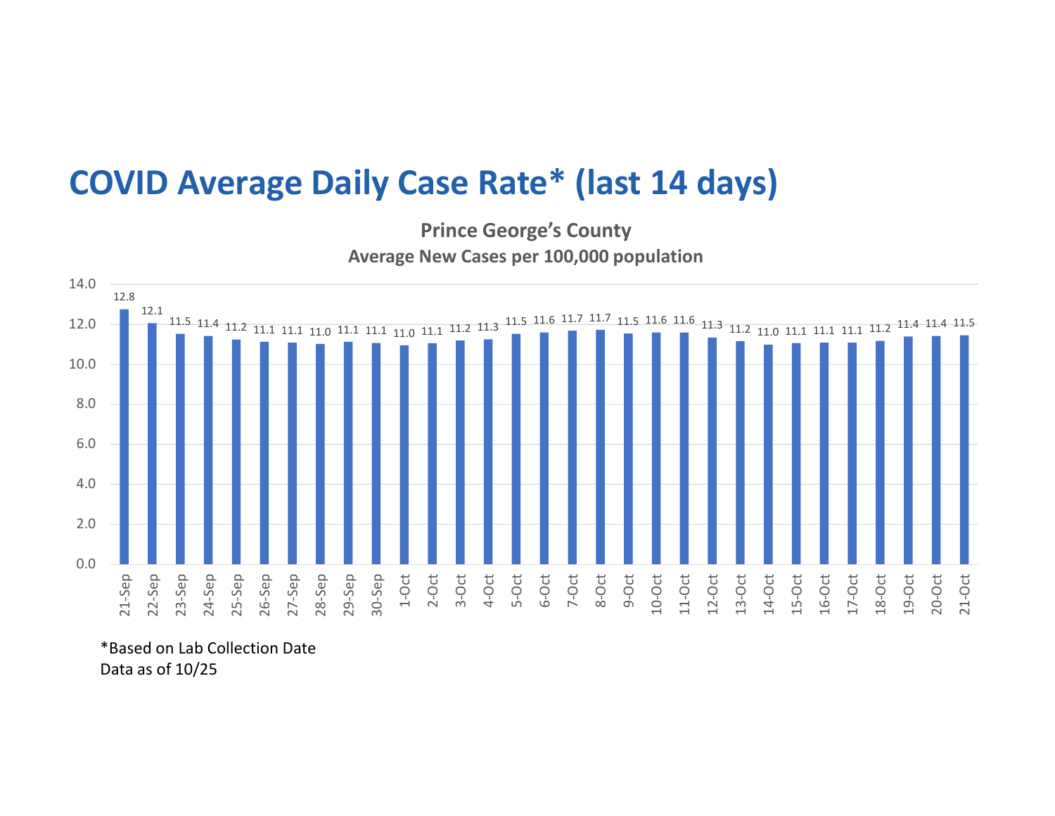## COVID Average Daily Case Rate\* (last 14 days)

Prince George's County Average New Cases per 100,000 population



\*Based on Lab Collection Date Data as of 10/25